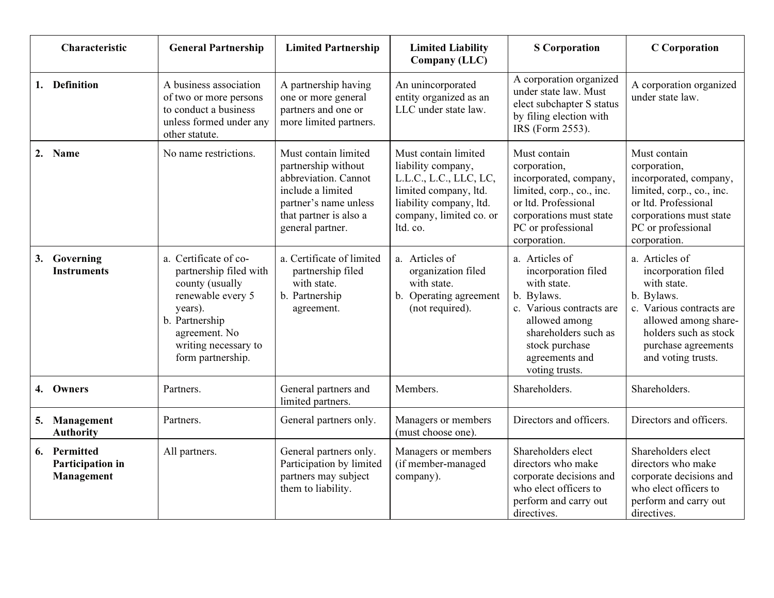| Characteristic                                 | <b>General Partnership</b>                                                                                                                                                         | <b>Limited Partnership</b>                                                                                                                                      | <b>Limited Liability</b><br>Company (LLC)                                                                                                                       | <b>S</b> Corporation                                                                                                                                                                          | <b>C</b> Corporation                                                                                                                                                                         |
|------------------------------------------------|------------------------------------------------------------------------------------------------------------------------------------------------------------------------------------|-----------------------------------------------------------------------------------------------------------------------------------------------------------------|-----------------------------------------------------------------------------------------------------------------------------------------------------------------|-----------------------------------------------------------------------------------------------------------------------------------------------------------------------------------------------|----------------------------------------------------------------------------------------------------------------------------------------------------------------------------------------------|
| 1. Definition                                  | A business association<br>of two or more persons<br>to conduct a business<br>unless formed under any<br>other statute.                                                             | A partnership having<br>one or more general<br>partners and one or<br>more limited partners.                                                                    | An unincorporated<br>entity organized as an<br>LLC under state law.                                                                                             | A corporation organized<br>under state law. Must<br>elect subchapter S status<br>by filing election with<br>IRS (Form 2553).                                                                  | A corporation organized<br>under state law.                                                                                                                                                  |
| 2. Name                                        | No name restrictions.                                                                                                                                                              | Must contain limited<br>partnership without<br>abbreviation. Cannot<br>include a limited<br>partner's name unless<br>that partner is also a<br>general partner. | Must contain limited<br>liability company,<br>L.L.C., L.C., LLC, LC,<br>limited company, ltd.<br>liability company, ltd.<br>company, limited co. or<br>ltd. co. | Must contain<br>corporation,<br>incorporated, company,<br>limited, corp., co., inc.<br>or ltd. Professional<br>corporations must state<br>PC or professional<br>corporation.                  | Must contain<br>corporation,<br>incorporated, company,<br>limited, corp., co., inc.<br>or ltd. Professional<br>corporations must state<br>PC or professional<br>corporation.                 |
| Governing<br>3.<br><b>Instruments</b>          | a. Certificate of co-<br>partnership filed with<br>county (usually<br>renewable every 5<br>years).<br>b. Partnership<br>agreement. No<br>writing necessary to<br>form partnership. | a. Certificate of limited<br>partnership filed<br>with state.<br>b. Partnership<br>agreement.                                                                   | a. Articles of<br>organization filed<br>with state.<br>b. Operating agreement<br>(not required).                                                                | a. Articles of<br>incorporation filed<br>with state.<br>b. Bylaws.<br>c. Various contracts are<br>allowed among<br>shareholders such as<br>stock purchase<br>agreements and<br>voting trusts. | a. Articles of<br>incorporation filed<br>with state.<br>b. Bylaws.<br>c. Various contracts are<br>allowed among share-<br>holders such as stock<br>purchase agreements<br>and voting trusts. |
| 4. Owners                                      | Partners.                                                                                                                                                                          | General partners and<br>limited partners.                                                                                                                       | Members.                                                                                                                                                        | Shareholders.                                                                                                                                                                                 | Shareholders.                                                                                                                                                                                |
| Management<br>5.<br><b>Authority</b>           | Partners.                                                                                                                                                                          | General partners only.                                                                                                                                          | Managers or members<br>(must choose one).                                                                                                                       | Directors and officers.                                                                                                                                                                       | Directors and officers.                                                                                                                                                                      |
| 6. Permitted<br>Participation in<br>Management | All partners.                                                                                                                                                                      | General partners only.<br>Participation by limited<br>partners may subject<br>them to liability.                                                                | Managers or members<br>(if member-managed<br>company).                                                                                                          | Shareholders elect<br>directors who make<br>corporate decisions and<br>who elect officers to<br>perform and carry out<br>directives.                                                          | Shareholders elect<br>directors who make<br>corporate decisions and<br>who elect officers to<br>perform and carry out<br>directives.                                                         |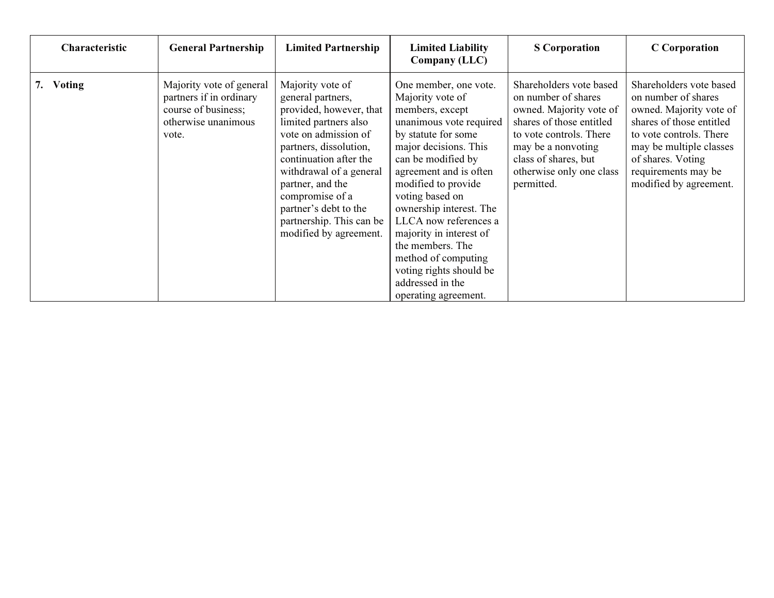| Characteristic      | <b>General Partnership</b>                                                                                 | <b>Limited Partnership</b>                                                                                                                                                                                                                                                                                             | <b>Limited Liability</b><br>Company (LLC)                                                                                                                                                                                                                                                                                                                                                                                          | <b>S</b> Corporation                                                                                                                                                                                                     | <b>C</b> Corporation                                                                                                                                                                                                              |
|---------------------|------------------------------------------------------------------------------------------------------------|------------------------------------------------------------------------------------------------------------------------------------------------------------------------------------------------------------------------------------------------------------------------------------------------------------------------|------------------------------------------------------------------------------------------------------------------------------------------------------------------------------------------------------------------------------------------------------------------------------------------------------------------------------------------------------------------------------------------------------------------------------------|--------------------------------------------------------------------------------------------------------------------------------------------------------------------------------------------------------------------------|-----------------------------------------------------------------------------------------------------------------------------------------------------------------------------------------------------------------------------------|
| <b>Voting</b><br>7. | Majority vote of general<br>partners if in ordinary<br>course of business;<br>otherwise unanimous<br>vote. | Majority vote of<br>general partners,<br>provided, however, that<br>limited partners also<br>vote on admission of<br>partners, dissolution,<br>continuation after the<br>withdrawal of a general<br>partner, and the<br>compromise of a<br>partner's debt to the<br>partnership. This can be<br>modified by agreement. | One member, one vote.<br>Majority vote of<br>members, except<br>unanimous vote required<br>by statute for some<br>major decisions. This<br>can be modified by<br>agreement and is often<br>modified to provide<br>voting based on<br>ownership interest. The<br>LLCA now references a<br>majority in interest of<br>the members. The<br>method of computing<br>voting rights should be<br>addressed in the<br>operating agreement. | Shareholders vote based<br>on number of shares<br>owned. Majority vote of<br>shares of those entitled<br>to vote controls. There<br>may be a nonvoting<br>class of shares, but<br>otherwise only one class<br>permitted. | Shareholders vote based<br>on number of shares<br>owned. Majority vote of<br>shares of those entitled<br>to vote controls. There<br>may be multiple classes<br>of shares. Voting<br>requirements may be<br>modified by agreement. |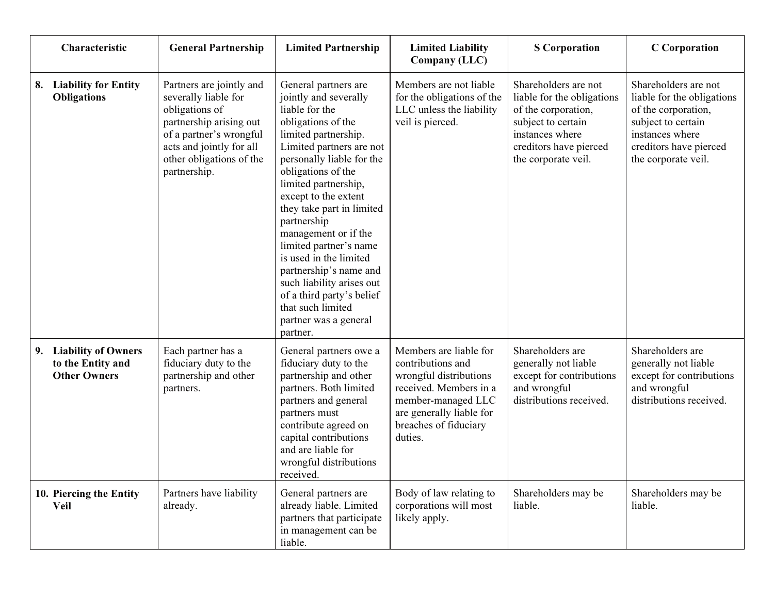| Characteristic                                                               | <b>General Partnership</b>                                                                                                                                                                       | <b>Limited Partnership</b>                                                                                                                                                                                                                                                                                                                                                                                                                                                                                         | <b>Limited Liability</b><br><b>Company (LLC)</b>                                                                                                                                      | <b>S</b> Corporation                                                                                                                                                | <b>C</b> Corporation                                                                                                                                                |
|------------------------------------------------------------------------------|--------------------------------------------------------------------------------------------------------------------------------------------------------------------------------------------------|--------------------------------------------------------------------------------------------------------------------------------------------------------------------------------------------------------------------------------------------------------------------------------------------------------------------------------------------------------------------------------------------------------------------------------------------------------------------------------------------------------------------|---------------------------------------------------------------------------------------------------------------------------------------------------------------------------------------|---------------------------------------------------------------------------------------------------------------------------------------------------------------------|---------------------------------------------------------------------------------------------------------------------------------------------------------------------|
| <b>Liability for Entity</b><br>8.<br><b>Obligations</b>                      | Partners are jointly and<br>severally liable for<br>obligations of<br>partnership arising out<br>of a partner's wrongful<br>acts and jointly for all<br>other obligations of the<br>partnership. | General partners are<br>jointly and severally<br>liable for the<br>obligations of the<br>limited partnership.<br>Limited partners are not<br>personally liable for the<br>obligations of the<br>limited partnership,<br>except to the extent<br>they take part in limited<br>partnership<br>management or if the<br>limited partner's name<br>is used in the limited<br>partnership's name and<br>such liability arises out<br>of a third party's belief<br>that such limited<br>partner was a general<br>partner. | Members are not liable<br>for the obligations of the<br>LLC unless the liability<br>veil is pierced.                                                                                  | Shareholders are not<br>liable for the obligations<br>of the corporation,<br>subject to certain<br>instances where<br>creditors have pierced<br>the corporate veil. | Shareholders are not<br>liable for the obligations<br>of the corporation,<br>subject to certain<br>instances where<br>creditors have pierced<br>the corporate veil. |
| <b>Liability of Owners</b><br>9.<br>to the Entity and<br><b>Other Owners</b> | Each partner has a<br>fiduciary duty to the<br>partnership and other<br>partners.                                                                                                                | General partners owe a<br>fiduciary duty to the<br>partnership and other<br>partners. Both limited<br>partners and general<br>partners must<br>contribute agreed on<br>capital contributions<br>and are liable for<br>wrongful distributions<br>received.                                                                                                                                                                                                                                                          | Members are liable for<br>contributions and<br>wrongful distributions<br>received. Members in a<br>member-managed LLC<br>are generally liable for<br>breaches of fiduciary<br>duties. | Shareholders are<br>generally not liable<br>except for contributions<br>and wrongful<br>distributions received.                                                     | Shareholders are<br>generally not liable<br>except for contributions<br>and wrongful<br>distributions received.                                                     |
| 10. Piercing the Entity<br>Veil                                              | Partners have liability<br>already.                                                                                                                                                              | General partners are<br>already liable. Limited<br>partners that participate<br>in management can be<br>liable.                                                                                                                                                                                                                                                                                                                                                                                                    | Body of law relating to<br>corporations will most<br>likely apply.                                                                                                                    | Shareholders may be<br>liable.                                                                                                                                      | Shareholders may be<br>liable.                                                                                                                                      |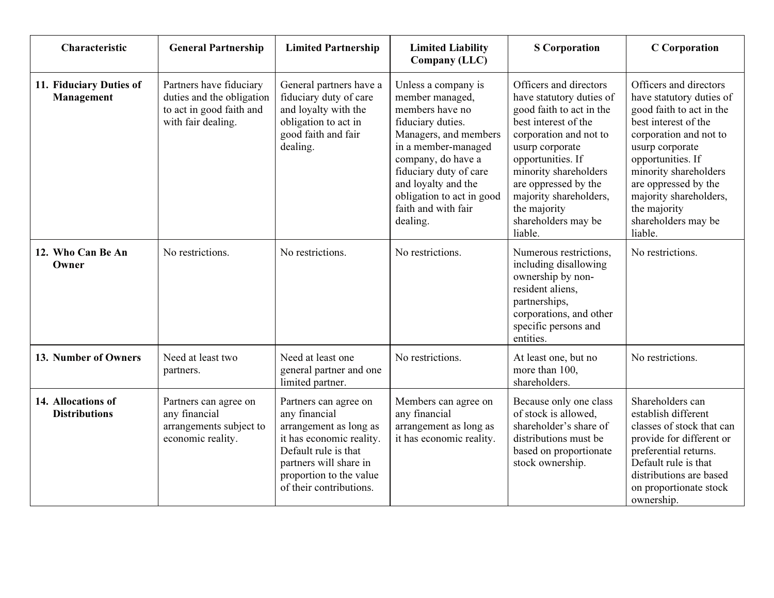| Characteristic                             | <b>General Partnership</b>                                                                             | <b>Limited Partnership</b>                                                                                                                                                                           | <b>Limited Liability</b><br><b>Company (LLC)</b>                                                                                                                                                                                                                      | <b>S</b> Corporation                                                                                                                                                                                                                                                                                  | <b>C</b> Corporation                                                                                                                                                                                                                                                                                  |
|--------------------------------------------|--------------------------------------------------------------------------------------------------------|------------------------------------------------------------------------------------------------------------------------------------------------------------------------------------------------------|-----------------------------------------------------------------------------------------------------------------------------------------------------------------------------------------------------------------------------------------------------------------------|-------------------------------------------------------------------------------------------------------------------------------------------------------------------------------------------------------------------------------------------------------------------------------------------------------|-------------------------------------------------------------------------------------------------------------------------------------------------------------------------------------------------------------------------------------------------------------------------------------------------------|
| 11. Fiduciary Duties of<br>Management      | Partners have fiduciary<br>duties and the obligation<br>to act in good faith and<br>with fair dealing. | General partners have a<br>fiduciary duty of care<br>and loyalty with the<br>obligation to act in<br>good faith and fair<br>dealing.                                                                 | Unless a company is<br>member managed,<br>members have no<br>fiduciary duties.<br>Managers, and members<br>in a member-managed<br>company, do have a<br>fiduciary duty of care<br>and loyalty and the<br>obligation to act in good<br>faith and with fair<br>dealing. | Officers and directors<br>have statutory duties of<br>good faith to act in the<br>best interest of the<br>corporation and not to<br>usurp corporate<br>opportunities. If<br>minority shareholders<br>are oppressed by the<br>majority shareholders,<br>the majority<br>shareholders may be<br>liable. | Officers and directors<br>have statutory duties of<br>good faith to act in the<br>best interest of the<br>corporation and not to<br>usurp corporate<br>opportunities. If<br>minority shareholders<br>are oppressed by the<br>majority shareholders,<br>the majority<br>shareholders may be<br>liable. |
| 12. Who Can Be An<br>Owner                 | No restrictions.                                                                                       | No restrictions.                                                                                                                                                                                     | No restrictions.                                                                                                                                                                                                                                                      | Numerous restrictions,<br>including disallowing<br>ownership by non-<br>resident aliens,<br>partnerships,<br>corporations, and other<br>specific persons and<br>entities.                                                                                                                             | No restrictions.                                                                                                                                                                                                                                                                                      |
| 13. Number of Owners                       | Need at least two<br>partners.                                                                         | Need at least one<br>general partner and one<br>limited partner.                                                                                                                                     | No restrictions.                                                                                                                                                                                                                                                      | At least one, but no<br>more than 100,<br>shareholders.                                                                                                                                                                                                                                               | No restrictions.                                                                                                                                                                                                                                                                                      |
| 14. Allocations of<br><b>Distributions</b> | Partners can agree on<br>any financial<br>arrangements subject to<br>economic reality.                 | Partners can agree on<br>any financial<br>arrangement as long as<br>it has economic reality.<br>Default rule is that<br>partners will share in<br>proportion to the value<br>of their contributions. | Members can agree on<br>any financial<br>arrangement as long as<br>it has economic reality.                                                                                                                                                                           | Because only one class<br>of stock is allowed,<br>shareholder's share of<br>distributions must be<br>based on proportionate<br>stock ownership.                                                                                                                                                       | Shareholders can<br>establish different<br>classes of stock that can<br>provide for different or<br>preferential returns.<br>Default rule is that<br>distributions are based<br>on proportionate stock<br>ownership.                                                                                  |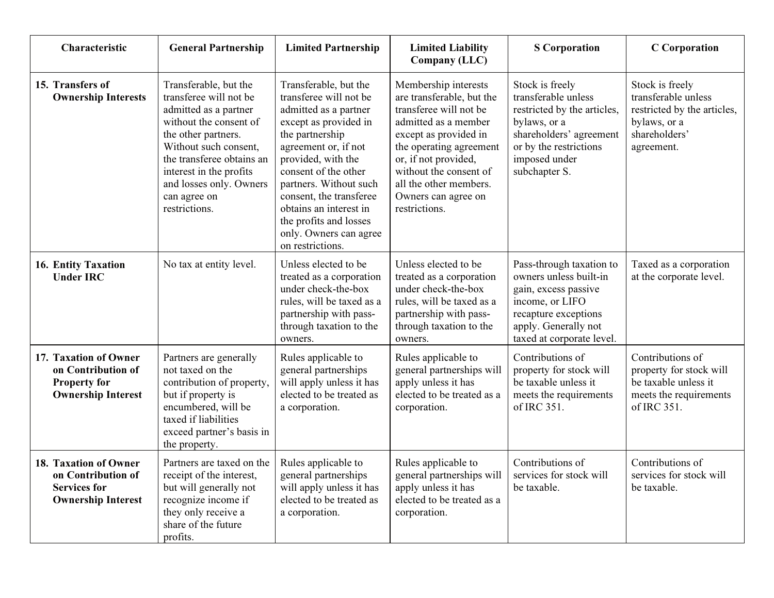| Characteristic                                                                                  | <b>General Partnership</b>                                                                                                                                                                                                                                             | <b>Limited Partnership</b>                                                                                                                                                                                                                                                                                                                        | <b>Limited Liability</b><br>Company (LLC)                                                                                                                                                                                                                                   | <b>S</b> Corporation                                                                                                                                                         | <b>C</b> Corporation                                                                                                 |
|-------------------------------------------------------------------------------------------------|------------------------------------------------------------------------------------------------------------------------------------------------------------------------------------------------------------------------------------------------------------------------|---------------------------------------------------------------------------------------------------------------------------------------------------------------------------------------------------------------------------------------------------------------------------------------------------------------------------------------------------|-----------------------------------------------------------------------------------------------------------------------------------------------------------------------------------------------------------------------------------------------------------------------------|------------------------------------------------------------------------------------------------------------------------------------------------------------------------------|----------------------------------------------------------------------------------------------------------------------|
| 15. Transfers of<br><b>Ownership Interests</b>                                                  | Transferable, but the<br>transferee will not be<br>admitted as a partner<br>without the consent of<br>the other partners.<br>Without such consent,<br>the transferee obtains an<br>interest in the profits<br>and losses only. Owners<br>can agree on<br>restrictions. | Transferable, but the<br>transferee will not be<br>admitted as a partner<br>except as provided in<br>the partnership<br>agreement or, if not<br>provided, with the<br>consent of the other<br>partners. Without such<br>consent, the transferee<br>obtains an interest in<br>the profits and losses<br>only. Owners can agree<br>on restrictions. | Membership interests<br>are transferable, but the<br>transferee will not be<br>admitted as a member<br>except as provided in<br>the operating agreement<br>or, if not provided,<br>without the consent of<br>all the other members.<br>Owners can agree on<br>restrictions. | Stock is freely<br>transferable unless<br>restricted by the articles,<br>bylaws, or a<br>shareholders' agreement<br>or by the restrictions<br>imposed under<br>subchapter S. | Stock is freely<br>transferable unless<br>restricted by the articles,<br>bylaws, or a<br>shareholders'<br>agreement. |
| 16. Entity Taxation<br><b>Under IRC</b>                                                         | No tax at entity level.                                                                                                                                                                                                                                                | Unless elected to be<br>treated as a corporation<br>under check-the-box<br>rules, will be taxed as a<br>partnership with pass-<br>through taxation to the<br>owners.                                                                                                                                                                              | Unless elected to be<br>treated as a corporation<br>under check-the-box<br>rules, will be taxed as a<br>partnership with pass-<br>through taxation to the<br>owners.                                                                                                        | Pass-through taxation to<br>owners unless built-in<br>gain, excess passive<br>income, or LIFO<br>recapture exceptions<br>apply. Generally not<br>taxed at corporate level.   | Taxed as a corporation<br>at the corporate level.                                                                    |
| 17. Taxation of Owner<br>on Contribution of<br><b>Property for</b><br><b>Ownership Interest</b> | Partners are generally<br>not taxed on the<br>contribution of property,<br>but if property is<br>encumbered, will be<br>taxed if liabilities<br>exceed partner's basis in<br>the property.                                                                             | Rules applicable to<br>general partnerships<br>will apply unless it has<br>elected to be treated as<br>a corporation.                                                                                                                                                                                                                             | Rules applicable to<br>general partnerships will<br>apply unless it has<br>elected to be treated as a<br>corporation.                                                                                                                                                       | Contributions of<br>property for stock will<br>be taxable unless it<br>meets the requirements<br>of IRC 351.                                                                 | Contributions of<br>property for stock will<br>be taxable unless it<br>meets the requirements<br>of IRC 351.         |
| 18. Taxation of Owner<br>on Contribution of<br><b>Services for</b><br><b>Ownership Interest</b> | Partners are taxed on the<br>receipt of the interest,<br>but will generally not<br>recognize income if<br>they only receive a<br>share of the future<br>profits.                                                                                                       | Rules applicable to<br>general partnerships<br>will apply unless it has<br>elected to be treated as<br>a corporation.                                                                                                                                                                                                                             | Rules applicable to<br>general partnerships will<br>apply unless it has<br>elected to be treated as a<br>corporation.                                                                                                                                                       | Contributions of<br>services for stock will<br>be taxable.                                                                                                                   | Contributions of<br>services for stock will<br>be taxable.                                                           |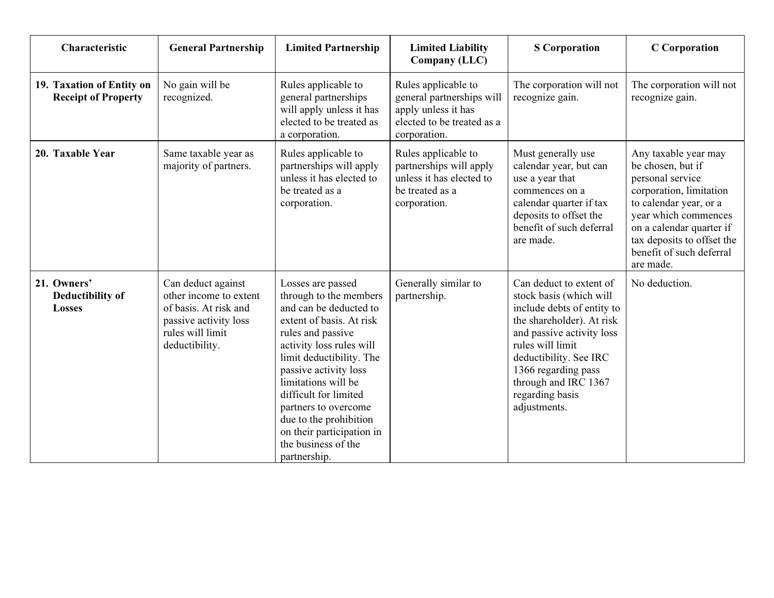| Characteristic                                          | <b>General Partnership</b>                                                                                                           | <b>Limited Partnership</b>                                                                                                                                                                                                                                                                                                                                                    | <b>Limited Liability</b><br>Company (LLC)                                                                             | <b>S</b> Corporation                                                                                                                                                                                                                                                       | <b>C</b> Corporation                                                                                                                                                                                                                          |
|---------------------------------------------------------|--------------------------------------------------------------------------------------------------------------------------------------|-------------------------------------------------------------------------------------------------------------------------------------------------------------------------------------------------------------------------------------------------------------------------------------------------------------------------------------------------------------------------------|-----------------------------------------------------------------------------------------------------------------------|----------------------------------------------------------------------------------------------------------------------------------------------------------------------------------------------------------------------------------------------------------------------------|-----------------------------------------------------------------------------------------------------------------------------------------------------------------------------------------------------------------------------------------------|
| 19. Taxation of Entity on<br><b>Receipt of Property</b> | No gain will be<br>recognized.                                                                                                       | Rules applicable to<br>general partnerships<br>will apply unless it has<br>elected to be treated as<br>a corporation.                                                                                                                                                                                                                                                         | Rules applicable to<br>general partnerships will<br>apply unless it has<br>elected to be treated as a<br>corporation. | The corporation will not<br>recognize gain.                                                                                                                                                                                                                                | The corporation will not<br>recognize gain.                                                                                                                                                                                                   |
| 20. Taxable Year                                        | Same taxable year as<br>majority of partners.                                                                                        | Rules applicable to<br>partnerships will apply<br>unless it has elected to<br>be treated as a<br>corporation.                                                                                                                                                                                                                                                                 | Rules applicable to<br>partnerships will apply<br>unless it has elected to<br>be treated as a<br>corporation.         | Must generally use<br>calendar year, but can<br>use a year that<br>commences on a<br>calendar quarter if tax<br>deposits to offset the<br>benefit of such deferral<br>are made.                                                                                            | Any taxable year may<br>be chosen, but if<br>personal service<br>corporation, limitation<br>to calendar year, or a<br>year which commences<br>on a calendar quarter if<br>tax deposits to offset the<br>benefit of such deferral<br>are made. |
| 21. Owners'<br>Deductibility of<br>Losses               | Can deduct against<br>other income to extent<br>of basis. At risk and<br>passive activity loss<br>rules will limit<br>deductibility. | Losses are passed<br>through to the members<br>and can be deducted to<br>extent of basis. At risk<br>rules and passive<br>activity loss rules will<br>limit deductibility. The<br>passive activity loss<br>limitations will be<br>difficult for limited<br>partners to overcome<br>due to the prohibition<br>on their participation in<br>the business of the<br>partnership. | Generally similar to<br>partnership.                                                                                  | Can deduct to extent of<br>stock basis (which will<br>include debts of entity to<br>the shareholder). At risk<br>and passive activity loss<br>rules will limit<br>deductibility. See IRC<br>1366 regarding pass<br>through and IRC 1367<br>regarding basis<br>adjustments. | No deduction.                                                                                                                                                                                                                                 |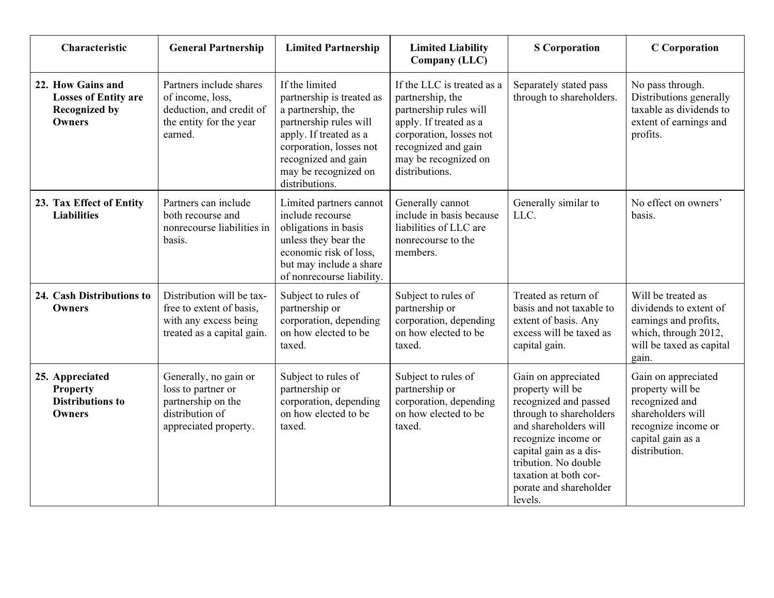| Characteristic                                                                            | <b>General Partnership</b>                                                                                    | <b>Limited Partnership</b>                                                                                                                                                                                        | <b>Limited Liability</b><br>Company (LLC)                                                                                                                                                      | <b>S</b> Corporation                                                                                                                                                                                                                                        | <b>C</b> Corporation                                                                                                                        |
|-------------------------------------------------------------------------------------------|---------------------------------------------------------------------------------------------------------------|-------------------------------------------------------------------------------------------------------------------------------------------------------------------------------------------------------------------|------------------------------------------------------------------------------------------------------------------------------------------------------------------------------------------------|-------------------------------------------------------------------------------------------------------------------------------------------------------------------------------------------------------------------------------------------------------------|---------------------------------------------------------------------------------------------------------------------------------------------|
| 22. How Gains and<br><b>Losses of Entity are</b><br><b>Recognized by</b><br><b>Owners</b> | Partners include shares<br>of income, loss,<br>deduction, and credit of<br>the entity for the year<br>earned. | If the limited<br>partnership is treated as<br>a partnership, the<br>partnership rules will<br>apply. If treated as a<br>corporation, losses not<br>recognized and gain<br>may be recognized on<br>distributions. | If the LLC is treated as a<br>partnership, the<br>partnership rules will<br>apply. If treated as a<br>corporation, losses not<br>recognized and gain<br>may be recognized on<br>distributions. | Separately stated pass<br>through to shareholders.                                                                                                                                                                                                          | No pass through.<br>Distributions generally<br>taxable as dividends to<br>extent of earnings and<br>profits.                                |
| 23. Tax Effect of Entity<br><b>Liabilities</b>                                            | Partners can include<br>both recourse and<br>nonrecourse liabilities in<br>basis.                             | Limited partners cannot<br>include recourse<br>obligations in basis<br>unless they bear the<br>economic risk of loss,<br>but may include a share<br>of nonrecourse liability.                                     | Generally cannot<br>include in basis because<br>liabilities of LLC are<br>nonrecourse to the<br>members.                                                                                       | Generally similar to<br>LLC.                                                                                                                                                                                                                                | No effect on owners'<br>basis.                                                                                                              |
| 24. Cash Distributions to<br><b>Owners</b>                                                | Distribution will be tax-<br>free to extent of basis,<br>with any excess being<br>treated as a capital gain.  | Subject to rules of<br>partnership or<br>corporation, depending<br>on how elected to be<br>taxed.                                                                                                                 | Subject to rules of<br>partnership or<br>corporation, depending<br>on how elected to be<br>taxed.                                                                                              | Treated as return of<br>basis and not taxable to<br>extent of basis. Any<br>excess will be taxed as<br>capital gain.                                                                                                                                        | Will be treated as<br>dividends to extent of<br>earnings and profits,<br>which, through 2012,<br>will be taxed as capital<br>gain.          |
| 25. Appreciated<br><b>Property</b><br><b>Distributions to</b><br><b>Owners</b>            | Generally, no gain or<br>loss to partner or<br>partnership on the<br>distribution of<br>appreciated property. | Subject to rules of<br>partnership or<br>corporation, depending<br>on how elected to be<br>taxed.                                                                                                                 | Subject to rules of<br>partnership or<br>corporation, depending<br>on how elected to be<br>taxed.                                                                                              | Gain on appreciated<br>property will be<br>recognized and passed<br>through to shareholders<br>and shareholders will<br>recognize income or<br>capital gain as a dis-<br>tribution. No double<br>taxation at both cor-<br>porate and shareholder<br>levels. | Gain on appreciated<br>property will be<br>recognized and<br>shareholders will<br>recognize income or<br>capital gain as a<br>distribution. |